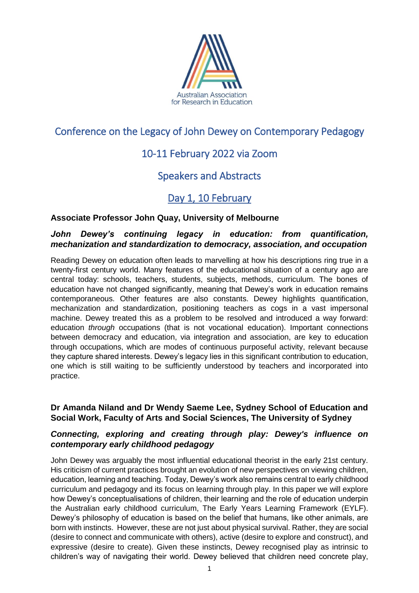

# Conference on the Legacy of John Dewey on Contemporary Pedagogy

# 10-11 February 2022 via Zoom

# Speakers and Abstracts

# Day 1, 10 February

## **Associate Professor John Quay, University of Melbourne**

## *John Dewey's continuing legacy in education: from quantification, mechanization and standardization to democracy, association, and occupation*

Reading Dewey on education often leads to marvelling at how his descriptions ring true in a twenty-first century world. Many features of the educational situation of a century ago are central today: schools, teachers, students, subjects, methods, curriculum. The bones of education have not changed significantly, meaning that Dewey's work in education remains contemporaneous. Other features are also constants. Dewey highlights quantification, mechanization and standardization, positioning teachers as cogs in a vast impersonal machine. Dewey treated this as a problem to be resolved and introduced a way forward: education *through* occupations (that is not vocational education). Important connections between democracy and education, via integration and association, are key to education through occupations, which are modes of continuous purposeful activity, relevant because they capture shared interests. Dewey's legacy lies in this significant contribution to education, one which is still waiting to be sufficiently understood by teachers and incorporated into practice.

## **Dr Amanda Niland and Dr Wendy Saeme Lee, Sydney School of Education and Social Work, Faculty of Arts and Social Sciences, The University of Sydney**

## *Connecting, exploring and creating through play: Dewey's influence on contemporary early childhood pedagogy*

John Dewey was arguably the most influential educational theorist in the early 21st century. His criticism of current practices brought an evolution of new perspectives on viewing children, education, learning and teaching. Today, Dewey's work also remains central to early childhood curriculum and pedagogy and its focus on learning through play. In this paper we will explore how Dewey's conceptualisations of children, their learning and the role of education underpin the Australian early childhood curriculum, The Early Years Learning Framework (EYLF). Dewey's philosophy of education is based on the belief that humans, like other animals, are born with instincts. However, these are not just about physical survival. Rather, they are social (desire to connect and communicate with others), active (desire to explore and construct), and expressive (desire to create). Given these instincts, Dewey recognised play as intrinsic to children's way of navigating their world. Dewey believed that children need concrete play,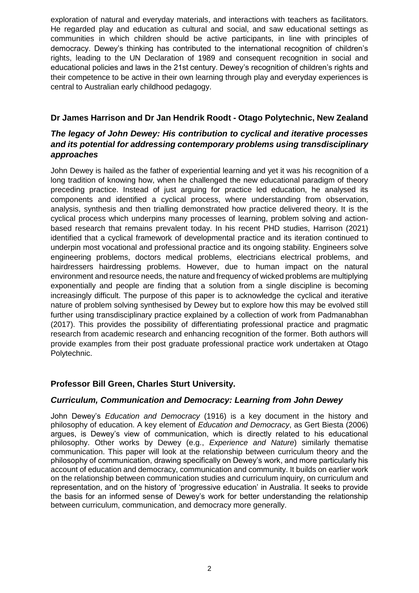exploration of natural and everyday materials, and interactions with teachers as facilitators. He regarded play and education as cultural and social, and saw educational settings as communities in which children should be active participants, in line with principles of democracy. Dewey's thinking has contributed to the international recognition of children's rights, leading to the UN Declaration of 1989 and consequent recognition in social and educational policies and laws in the 21st century. Dewey's recognition of children's rights and their competence to be active in their own learning through play and everyday experiences is central to Australian early childhood pedagogy.

## **Dr James Harrison and Dr Jan Hendrik Roodt - Otago Polytechnic, New Zealand**

## *The legacy of John Dewey: His contribution to cyclical and iterative processes and its potential for addressing contemporary problems using transdisciplinary approaches*

John Dewey is hailed as the father of experiential learning and yet it was his recognition of a long tradition of knowing how, when he challenged the new educational paradigm of theory preceding practice. Instead of just arguing for practice led education, he analysed its components and identified a cyclical process, where understanding from observation, analysis, synthesis and then trialling demonstrated how practice delivered theory. It is the cyclical process which underpins many processes of learning, problem solving and actionbased research that remains prevalent today. In his recent PHD studies, Harrison (2021) identified that a cyclical framework of developmental practice and its iteration continued to underpin most vocational and professional practice and its ongoing stability. Engineers solve engineering problems, doctors medical problems, electricians electrical problems, and hairdressers hairdressing problems. However, due to human impact on the natural environment and resource needs, the nature and frequency of wicked problems are multiplying exponentially and people are finding that a solution from a single discipline is becoming increasingly difficult. The purpose of this paper is to acknowledge the cyclical and iterative nature of problem solving synthesised by Dewey but to explore how this may be evolved still further using transdisciplinary practice explained by a collection of work from Padmanabhan (2017). This provides the possibility of differentiating professional practice and pragmatic research from academic research and enhancing recognition of the former. Both authors will provide examples from their post graduate professional practice work undertaken at Otago Polytechnic.

### **Professor Bill Green, Charles Sturt University.**

### *Curriculum, Communication and Democracy: Learning from John Dewey*

John Dewey's *Education and Democracy* (1916) is a key document in the history and philosophy of education. A key element of *Education and Democracy*, as Gert Biesta (2006) argues, is Dewey's view of communication, which is directly related to his educational philosophy. Other works by Dewey (e.g., *Experience and Nature*) similarly thematise communication. This paper will look at the relationship between curriculum theory and the philosophy of communication, drawing specifically on Dewey's work, and more particularly his account of education and democracy, communication and community. It builds on earlier work on the relationship between communication studies and curriculum inquiry, on curriculum and representation, and on the history of 'progressive education' in Australia. It seeks to provide the basis for an informed sense of Dewey's work for better understanding the relationship between curriculum, communication, and democracy more generally.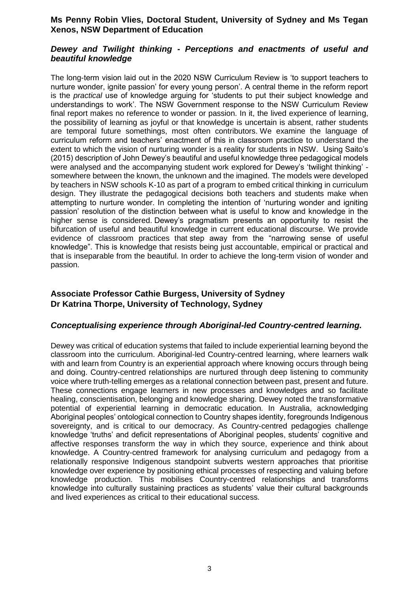### **Ms Penny Robin Vlies, Doctoral Student, University of Sydney and Ms Tegan Xenos, NSW Department of Education**

### *Dewey and Twilight thinking - Perceptions and enactments of useful and beautiful knowledge*

The long-term vision laid out in the 2020 NSW Curriculum Review is 'to support teachers to nurture wonder, ignite passion' for every young person'. A central theme in the reform report is the *practical* use of knowledge arguing for 'students to put their subject knowledge and understandings to work'. The NSW Government response to the NSW Curriculum Review final report makes no reference to wonder or passion. In it, the lived experience of learning, the possibility of learning as joyful or that knowledge is uncertain is absent, rather students are temporal future somethings, most often contributors. We examine the language of curriculum reform and teachers' enactment of this in classroom practice to understand the extent to which the vision of nurturing wonder is a reality for students in NSW. Using Saito's (2015) description of John Dewey's beautiful and useful knowledge three pedagogical models were analysed and the accompanying student work explored for Dewey's 'twilight thinking' somewhere between the known, the unknown and the imagined. The models were developed by teachers in NSW schools K-10 as part of a program to embed critical thinking in curriculum design. They illustrate the pedagogical decisions both teachers and students make when attempting to nurture wonder. In completing the intention of 'nurturing wonder and igniting passion' resolution of the distinction between what is useful to know and knowledge in the higher sense is considered. Dewey's pragmatism presents an opportunity to resist the bifurcation of useful and beautiful knowledge in current educational discourse. We provide evidence of classroom practices that step away from the "narrowing sense of useful knowledge". This is knowledge that resists being just accountable, empirical or practical and that is inseparable from the beautiful. In order to achieve the long-term vision of wonder and passion.

## **Associate Professor Cathie Burgess, University of Sydney Dr Katrina Thorpe, University of Technology, Sydney**

### *Conceptualising experience through Aboriginal-led Country-centred learning.*

Dewey was critical of education systems that failed to include experiential learning beyond the classroom into the curriculum. Aboriginal-led Country-centred learning, where learners walk with and learn from Country is an experiential approach where knowing occurs through being and doing. Country-centred relationships are nurtured through deep listening to community voice where truth-telling emerges as a relational connection between past, present and future. These connections engage learners in new processes and knowledges and so facilitate healing, conscientisation, belonging and knowledge sharing. Dewey noted the transformative potential of experiential learning in democratic education. In Australia, acknowledging Aboriginal peoples' ontological connection to Country shapes identity, foregrounds Indigenous sovereignty, and is critical to our democracy. As Country-centred pedagogies challenge knowledge 'truths' and deficit representations of Aboriginal peoples, students' cognitive and affective responses transform the way in which they source, experience and think about knowledge. A Country-centred framework for analysing curriculum and pedagogy from a relationally responsive Indigenous standpoint subverts western approaches that prioritise knowledge over experience by positioning ethical processes of respecting and valuing before knowledge production. This mobilises Country-centred relationships and transforms knowledge into culturally sustaining practices as students' value their cultural backgrounds and lived experiences as critical to their educational success.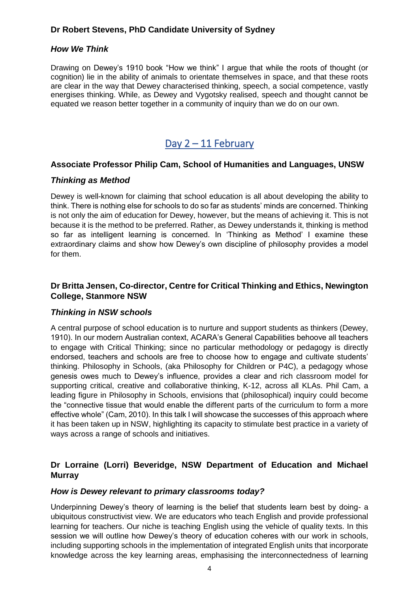## **Dr Robert Stevens, PhD Candidate University of Sydney**

#### *How We Think*

Drawing on Dewey's 1910 book "How we think" I argue that while the roots of thought (or cognition) lie in the ability of animals to orientate themselves in space, and that these roots are clear in the way that Dewey characterised thinking, speech, a social competence, vastly energises thinking. While, as Dewey and Vygotsky realised, speech and thought cannot be equated we reason better together in a community of inquiry than we do on our own.

# Day  $2 - 11$  February

#### **Associate Professor Philip Cam, School of Humanities and Languages, UNSW**

#### *Thinking as Method*

Dewey is well-known for claiming that school education is all about developing the ability to think. There is nothing else for schools to do so far as students' minds are concerned. Thinking is not only the aim of education for Dewey, however, but the means of achieving it. This is not because it is the method to be preferred. Rather, as Dewey understands it, thinking is method so far as intelligent learning is concerned. In 'Thinking as Method' I examine these extraordinary claims and show how Dewey's own discipline of philosophy provides a model for them.

### **Dr Britta Jensen, Co-director, Centre for Critical Thinking and Ethics, Newington College, Stanmore NSW**

#### *Thinking in NSW schools*

A central purpose of school education is to nurture and support students as thinkers (Dewey, 1910). In our modern Australian context, ACARA's General Capabilities behoove all teachers to engage with Critical Thinking; since no particular methodology or pedagogy is directly endorsed, teachers and schools are free to choose how to engage and cultivate students' thinking. Philosophy in Schools, (aka Philosophy for Children or P4C), a pedagogy whose genesis owes much to Dewey's influence, provides a clear and rich classroom model for supporting critical, creative and collaborative thinking, K-12, across all KLAs. Phil Cam, a leading figure in Philosophy in Schools, envisions that (philosophical) inquiry could become the "connective tissue that would enable the different parts of the curriculum to form a more effective whole" (Cam, 2010). In this talk I will showcase the successes of this approach where it has been taken up in NSW, highlighting its capacity to stimulate best practice in a variety of ways across a range of schools and initiatives.

## **Dr Lorraine (Lorri) Beveridge, NSW Department of Education and Michael Murray**

#### *How is Dewey relevant to primary classrooms today?*

Underpinning Dewey's theory of learning is the belief that students learn best by doing- a ubiquitous constructivist view. We are educators who teach English and provide professional learning for teachers. Our niche is teaching English using the vehicle of quality texts. In this session we will outline how Dewey's theory of education coheres with our work in schools, including supporting schools in the implementation of integrated English units that incorporate knowledge across the key learning areas, emphasising the interconnectedness of learning